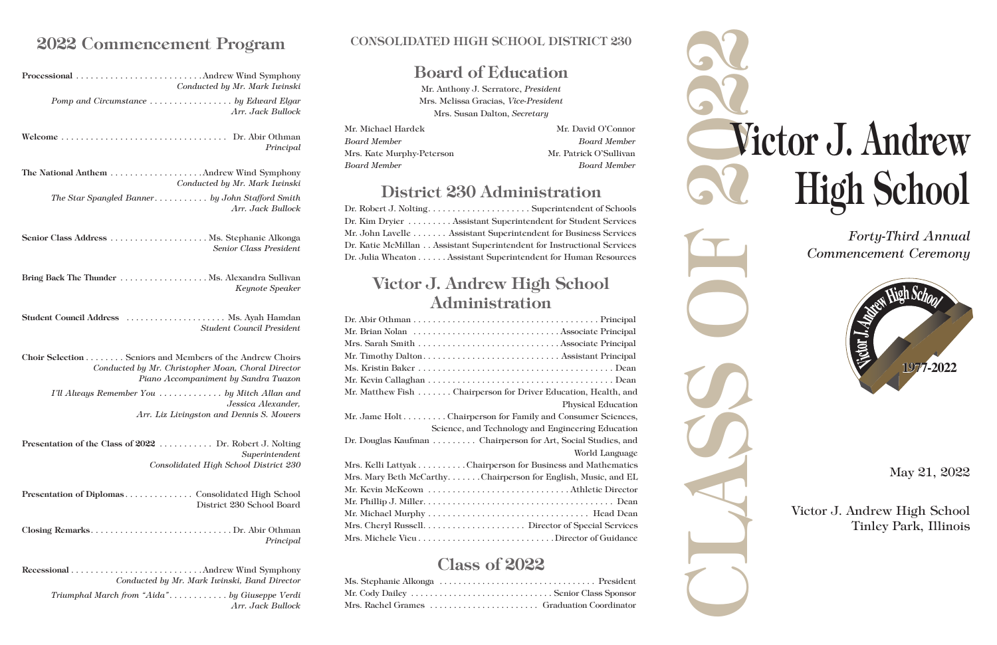*Forty-Third Annual Commencement Ceremony*

# CLASS OF 2222 Victor J. Andrew High School



### May 21, 2022

Victor J. Andrew High School Tinley Park, Illinois

### CONSOLIDATED HIGH SCHOOL DISTRICT 230

# Board of Education

Mr. Michael Hardek Mr. David O'Connor *Board Member Board Member* Mrs. Kate Murphy-Peterson Mr. Patrick O'Sullivan *Board Member Board Member*

Dr. Robert J. Nolting. . . Superintendent of Schools Dr. Kim Dryier......... Assistant Superintendent for Student Services Mr. John Lavelle . . . . . . . Assistant Superintendent for Business Services Dr. Katie McMillan. . . Assistant Superintendent for Instructional Services Dr. Julia Wheaton . . . . . . Assistant Superintendent for Human Resources

Mr. Anthony J. Serratore, *President* Mrs. Melissa Gracias, *Vice-President* Mrs. Susan Dalton, *Secretary*

# District 230 Administration

# Victor J. Andrew High School Administration

| Mr. Matthew Fish Chairperson for Driver Education, Health, and |
|----------------------------------------------------------------|
| <b>Physical Education</b>                                      |
| Mr. Jame Holt Chairperson for Family and Consumer Sciences,    |
| Science, and Technology and Engineering Education              |
| Dr. Douglas Kaufman Chairperson for Art, Social Studies, and   |
| World Language                                                 |
| Mrs. Kelli Lattyak Chairperson for Business and Mathematics    |
| Mrs. Mary Beth McCarthyChairperson for English, Music, and EL  |
|                                                                |
|                                                                |
|                                                                |
|                                                                |
|                                                                |

# Class of 2022

| Mrs. Rachel Grames  Graduation Coordinator |  |
|--------------------------------------------|--|

# 2022 Commencement Program

| Conducted by Mr. Mark Iwinski                                                                                                                          |
|--------------------------------------------------------------------------------------------------------------------------------------------------------|
| Arr. Jack Bullock                                                                                                                                      |
| Principal                                                                                                                                              |
| Conducted by Mr. Mark Iwinski                                                                                                                          |
| The Star Spangled Banner by John Stafford Smith<br>Arr. Jack Bullock                                                                                   |
| Senior Class President                                                                                                                                 |
| Keynote Speaker                                                                                                                                        |
| Student Council Address  Ms. Ayah Hamdan<br><b>Student Council President</b>                                                                           |
| Choir Selection Seniors and Members of the Andrew Choirs<br>Conducted by Mr. Christopher Moan, Choral Director<br>Piano Accompaniment by Sandra Tuazon |
| I'll Always Remember You  by Mitch Allan and<br>Jessica Alexander.<br>Arr. Liz Livingston and Dennis S. Mowers                                         |
| Presentation of the Class of 2022  Dr. Robert J. Nolting<br>Superintendent<br>Consolidated High School District 230                                    |
| District 230 School Board                                                                                                                              |
| Principal                                                                                                                                              |
| Conducted by Mr. Mark Iwinski, Band Director                                                                                                           |
| Triumphal March from "Aida" by Giuseppe Verdi<br>Arr. Jack Bullock                                                                                     |